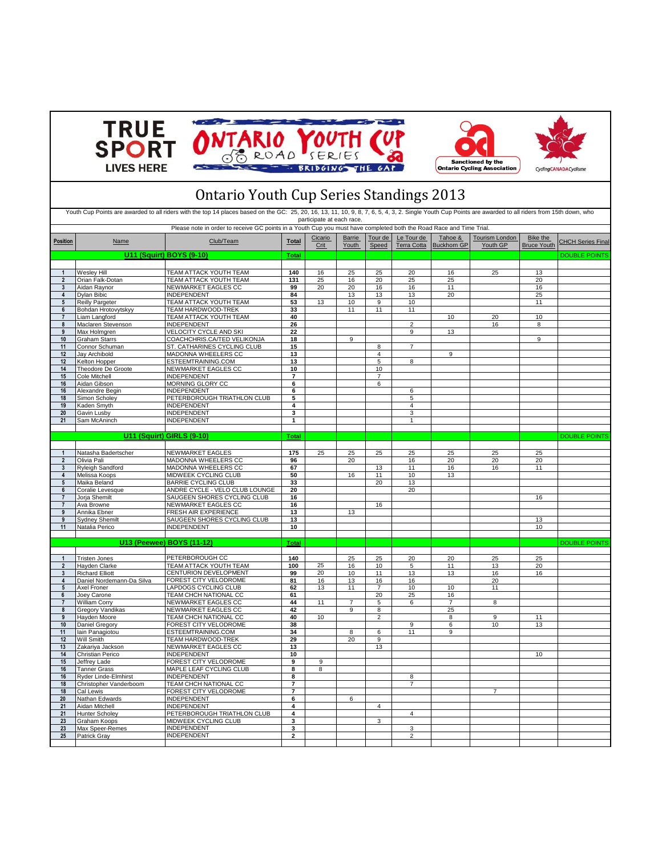





## Ontario Youth Cup Series Standings 2013

| Youth Cup Points are awarded to all riders with the top 14 places based on the GC: 25, 20, 16, 13, 11, 10, 9, 8, 7, 6, 5, 4, 3, 2. Single Youth Cup Points are awarded to all riders from 15th down, who<br>participate at each race. |                                                                                                                     |                                              |                |                 |                 |                  |                           |                               |                                   |                                       |                          |
|---------------------------------------------------------------------------------------------------------------------------------------------------------------------------------------------------------------------------------------|---------------------------------------------------------------------------------------------------------------------|----------------------------------------------|----------------|-----------------|-----------------|------------------|---------------------------|-------------------------------|-----------------------------------|---------------------------------------|--------------------------|
|                                                                                                                                                                                                                                       | Please note in order to receive GC points in a Youth Cup you must have completed both the Road Race and Time Trial. |                                              |                |                 |                 |                  |                           |                               |                                   |                                       |                          |
| <b>Position</b>                                                                                                                                                                                                                       | Name                                                                                                                | Club/Team                                    | <b>Total</b>   | Cicario<br>Crit | Barrie<br>Youth | Tour de<br>Speed | Le Tour de<br>Terra Cotta | Tahoe &<br><b>Buckhorn GP</b> | <b>Tourism London</b><br>Youth GP | <b>Bike the</b><br><b>Bruce Youth</b> | <b>CHCH Series Final</b> |
|                                                                                                                                                                                                                                       |                                                                                                                     | U11 (Squirt) BOYS (9-10)                     | <b>Total</b>   |                 |                 |                  |                           |                               |                                   |                                       | <b>DOUBLE POINTS</b>     |
|                                                                                                                                                                                                                                       |                                                                                                                     |                                              |                |                 |                 |                  |                           |                               |                                   |                                       |                          |
| $\mathbf{1}$                                                                                                                                                                                                                          | Wesley Hill                                                                                                         | TEAM ATTACK YOUTH TEAM                       | 140            | 16              | 25              | 25               | 20                        | 16                            | 25                                | 13                                    |                          |
| $\overline{2}$                                                                                                                                                                                                                        | Orian Falk-Dotan                                                                                                    | TEAM ATTACK YOUTH TEAM                       | 131            | 25              | 16              | 20               | 25                        | 25                            |                                   | 20                                    |                          |
| $\mathbf{3}$                                                                                                                                                                                                                          | Aidan Ravnor                                                                                                        | NEWMARKET EAGLES CC                          | 99             | 20              | 20              | 16               | 16                        | 11                            |                                   | 16                                    |                          |
| $\overline{4}$                                                                                                                                                                                                                        | Dylan Bibic                                                                                                         | <b>INDEPENDENT</b>                           | 84             |                 | 13              | 13               | 13                        | 20                            |                                   | 25                                    |                          |
| $5\phantom{.0}$                                                                                                                                                                                                                       | <b>Reilly Pargeter</b>                                                                                              | TEAM ATTACK YOUTH TEAM                       | 53             | 13              | 10              | 9                | 10                        |                               |                                   | 11                                    |                          |
| 6                                                                                                                                                                                                                                     | Bohdan Hrotovytskyy                                                                                                 | <b>TEAM HARDWOOD-TREK</b>                    | 33             |                 | 11              | 11               | 11                        |                               |                                   |                                       |                          |
| $\overline{7}$<br>8                                                                                                                                                                                                                   | Liam Langford                                                                                                       | <b>TEAM ATTACK YOUTH TEAM</b>                | 40<br>26       |                 |                 |                  | $\overline{2}$            | 10                            | 20<br>16                          | 10                                    |                          |
| 9                                                                                                                                                                                                                                     | Maclaren Stevenson<br>Max Holmgren                                                                                  | <b>INDEPENDENT</b><br>VELOCITY CYCLE AND SKI | 22             |                 |                 |                  | $\overline{9}$            | 13                            |                                   | 8                                     |                          |
| 10                                                                                                                                                                                                                                    | <b>Graham Starrs</b>                                                                                                | COACHCHRIS.CA/TED VELIKONJA                  | 18             |                 | 9               |                  |                           |                               |                                   | $\overline{9}$                        |                          |
| 11                                                                                                                                                                                                                                    | Connor Schuman                                                                                                      | ST. CATHARINES CYCLING CLUB                  | 15             |                 |                 | $\overline{8}$   | $\overline{7}$            |                               |                                   |                                       |                          |
| 12                                                                                                                                                                                                                                    | Jay Archibold                                                                                                       | MADONNA WHEELERS CC                          | 13             |                 |                 | $\overline{4}$   |                           | 9                             |                                   |                                       |                          |
| 12                                                                                                                                                                                                                                    | Kelton Hopper                                                                                                       | ESTEEMTRAINING.COM                           | 13             |                 |                 | $\,$ 5 $\,$      | 8                         |                               |                                   |                                       |                          |
| 14                                                                                                                                                                                                                                    | Theodore De Groote                                                                                                  | NEWMARKET EAGLES CC                          | 10             |                 |                 | 10               |                           |                               |                                   |                                       |                          |
| 15                                                                                                                                                                                                                                    | Cole Mitchell                                                                                                       | <b>INDEPENDENT</b>                           | $\overline{7}$ |                 |                 | $\overline{7}$   |                           |                               |                                   |                                       |                          |
| 16                                                                                                                                                                                                                                    | Aidan Gibson                                                                                                        | MORNING GLORY CC                             | 6              |                 |                 | 6                |                           |                               |                                   |                                       |                          |
| 16                                                                                                                                                                                                                                    | Alexandre Begin                                                                                                     | <b>INDEPENDENT</b>                           | 6              |                 |                 |                  | 6                         |                               |                                   |                                       |                          |
| 18                                                                                                                                                                                                                                    | Simon Scholey                                                                                                       | PETERBOROUGH TRIATHLON CLUB                  | 5              |                 |                 |                  | 5                         |                               |                                   |                                       |                          |
| 19                                                                                                                                                                                                                                    | Kaden Smyth                                                                                                         | <b>INDEPENDENT</b>                           | 4              |                 |                 |                  | $\overline{4}$            |                               |                                   |                                       |                          |
| 20                                                                                                                                                                                                                                    | Gavin Lusby                                                                                                         | <b>INDEPENDENT</b>                           | 3<br>1         |                 |                 |                  | 3                         |                               |                                   |                                       |                          |
| 21                                                                                                                                                                                                                                    | Sam McAninch                                                                                                        | <b>INDEPENDENT</b>                           |                |                 |                 |                  | $\mathbf{1}$              |                               |                                   |                                       |                          |
|                                                                                                                                                                                                                                       |                                                                                                                     | U11 (Squirt) GIRLS (9-10)                    | <b>Total</b>   |                 |                 |                  |                           |                               |                                   |                                       | <b>DOUBLE POINTS</b>     |
|                                                                                                                                                                                                                                       |                                                                                                                     |                                              |                |                 |                 |                  |                           |                               |                                   |                                       |                          |
| $\mathbf{1}$                                                                                                                                                                                                                          | Natasha Badertscher                                                                                                 | <b>NEWMARKET EAGLES</b>                      | 175            | 25              | 25              | 25               | 25                        | 25                            | 25                                | 25                                    |                          |
| $\overline{2}$                                                                                                                                                                                                                        | Olivia Pali                                                                                                         | MADONNA WHEELERS CC                          | 96             |                 | 20              |                  | 16                        | 20                            | 20                                | 20                                    |                          |
| $\mathbf{3}$                                                                                                                                                                                                                          | Ryleigh Sandford                                                                                                    | MADONNA WHEELERS CC                          | 67             |                 |                 | 13               | 11                        | 16                            | 16                                | 11                                    |                          |
| $\overline{4}$                                                                                                                                                                                                                        | Melissa Koops                                                                                                       | MIDWEEK CYCLING CLUB                         | 50             |                 | 16              | 11               | 10                        | 13                            |                                   |                                       |                          |
| $5\phantom{.0}$                                                                                                                                                                                                                       | Maika Beland                                                                                                        | <b>BARRIE CYCLING CLUB</b>                   | 33             |                 |                 | 20               | 13                        |                               |                                   |                                       |                          |
| 6                                                                                                                                                                                                                                     | Coralie Levesque                                                                                                    | ANDRE CYCLE - VELO CLUB LOUNGE               | 20             |                 |                 |                  | 20                        |                               |                                   |                                       |                          |
| $\overline{7}$                                                                                                                                                                                                                        | Jorja Shemilt                                                                                                       | SAUGEEN SHORES CYCLING CLUB                  | 16             |                 |                 |                  |                           |                               |                                   | 16                                    |                          |
| $\overline{7}$                                                                                                                                                                                                                        | Ava Browne                                                                                                          | NEWMARKET EAGLES CC                          | 16             |                 |                 | 16               |                           |                               |                                   |                                       |                          |
| $\mathbf{q}$                                                                                                                                                                                                                          | Annika Ebner                                                                                                        | FRESH AIR EXPERIENCE                         | 13             |                 | 13              |                  |                           |                               |                                   |                                       |                          |
| $\mathbf{Q}$                                                                                                                                                                                                                          | <b>Sydney Shemilt</b>                                                                                               | SAUGEEN SHORES CYCLING CLUB                  | 13             |                 |                 |                  |                           |                               |                                   | 13                                    |                          |
| 11                                                                                                                                                                                                                                    | Natalia Perico                                                                                                      | <b>INDEPENDENT</b>                           | 10             |                 |                 |                  |                           |                               |                                   | 10                                    |                          |
|                                                                                                                                                                                                                                       |                                                                                                                     |                                              |                |                 |                 |                  |                           |                               |                                   |                                       |                          |
|                                                                                                                                                                                                                                       |                                                                                                                     | U13 (Peewee) BOYS (11-12)                    | <b>Total</b>   |                 |                 |                  |                           |                               |                                   |                                       | <b>DOUBLE POINTS</b>     |
|                                                                                                                                                                                                                                       |                                                                                                                     |                                              |                |                 |                 |                  |                           |                               |                                   |                                       |                          |
| $\overline{2}$                                                                                                                                                                                                                        | <b>Tristen Jones</b>                                                                                                | PETERBOROUGH CC<br>TEAM ATTACK YOUTH TEAM    | 140<br>100     | 25              | 25<br>16        | 25<br>10         | 20                        | 20                            | 25                                | 25                                    |                          |
| $\mathbf{3}$                                                                                                                                                                                                                          | Hayden Clarke<br><b>Richard Elliott</b>                                                                             | CENTURION DEVELOPMENT                        | 99             | 20              | 10              | 11               | 5<br>13                   | 11<br>13                      | 13<br>16                          | 20<br>16                              |                          |
| $\overline{4}$                                                                                                                                                                                                                        | Daniel Nordemann-Da Silva                                                                                           | FOREST CITY VELODROME                        | 81             | 16              | 13              | 16               | 16                        |                               | 20                                |                                       |                          |
| $5\overline{5}$                                                                                                                                                                                                                       | Axel Froner                                                                                                         | LAPDOGS CYCLING CLUB                         | 62             | 13              | 11              | $\overline{7}$   | 10                        | 10                            | 11                                |                                       |                          |
| 6                                                                                                                                                                                                                                     | Joey Carone                                                                                                         | TEAM CHCH NATIONAL CC                        | 61             |                 |                 | 20               | 25                        | 16                            |                                   |                                       |                          |
| $\overline{7}$                                                                                                                                                                                                                        | <b>William Corry</b>                                                                                                | NEWMARKET EAGLES CC                          | 44             | 11              | $\overline{7}$  | 5                | 6                         | 7                             | 8                                 |                                       |                          |
| 8                                                                                                                                                                                                                                     | <b>Gregory Vandikas</b>                                                                                             | NEWMARKET EAGLES CC                          | 42             |                 | 9               | 8                |                           | 25                            |                                   |                                       |                          |
| 9                                                                                                                                                                                                                                     | Hayden Moore                                                                                                        | TEAM CHCH NATIONAL CC                        | 40             | 10              |                 | $\overline{2}$   |                           | 8                             | $\overline{9}$                    | 11                                    |                          |
| 10                                                                                                                                                                                                                                    | Daniel Gregory                                                                                                      | FOREST CITY VELODROME                        | 38             |                 |                 |                  | 9                         | 6                             | 10                                | 13                                    |                          |
| 11                                                                                                                                                                                                                                    | lain Panagiotou                                                                                                     | ESTEEMTRAINING.COM                           | 34             |                 | 8               | 6                | 11                        | g                             |                                   |                                       |                          |
| 12                                                                                                                                                                                                                                    | Will Smith                                                                                                          | TEAM HARDWOOD-TREK                           | 29             |                 | 20              | $9\,$            |                           |                               |                                   |                                       |                          |
| 13<br>14                                                                                                                                                                                                                              | Zakariya Jackson                                                                                                    | NEWMARKET EAGLES CC                          | 13             |                 |                 | 13               |                           |                               |                                   | 10                                    |                          |
| 15                                                                                                                                                                                                                                    | Christian Perico<br>Jeffrey Lade                                                                                    | <b>INDEPENDENT</b><br>FOREST CITY VELODROME  | 10<br>9        | 9               |                 |                  |                           |                               |                                   |                                       |                          |
| 16                                                                                                                                                                                                                                    | Tanner Grass                                                                                                        | MAPLE LEAF CYCLING CLUB                      | 8              | 8               |                 |                  |                           |                               |                                   |                                       |                          |
| 16                                                                                                                                                                                                                                    | <b>Ryder Linde-Elmhirst</b>                                                                                         | <b>INDEPENDENT</b>                           | 8              |                 |                 |                  | 8                         |                               |                                   |                                       |                          |
| 18                                                                                                                                                                                                                                    | Christopher Vanderboom                                                                                              | TEAM CHCH NATIONAL CC                        | 7              |                 |                 |                  | $\overline{7}$            |                               |                                   |                                       |                          |
| 18                                                                                                                                                                                                                                    | Cal Lewis                                                                                                           | FOREST CITY VELODROME                        | 7              |                 |                 |                  |                           |                               | $\overline{7}$                    |                                       |                          |
| 20                                                                                                                                                                                                                                    | Nathan Edwards                                                                                                      | <b>INDEPENDENT</b>                           | 6              |                 | 6               |                  |                           |                               |                                   |                                       |                          |
| 21                                                                                                                                                                                                                                    | Aidan Mitchell                                                                                                      | <b>INDEPENDENT</b>                           | 4              |                 |                 | 4                |                           |                               |                                   |                                       |                          |
| 21                                                                                                                                                                                                                                    | <b>Hunter Scholey</b>                                                                                               | PETERBOROUGH TRIATHLON CLUB                  | 4              |                 |                 |                  | $\overline{\mathbf{4}}$   |                               |                                   |                                       |                          |
| 23                                                                                                                                                                                                                                    | Graham Koops                                                                                                        | MIDWEEK CYCLING CLUB                         | 3              |                 |                 | $\overline{3}$   |                           |                               |                                   |                                       |                          |
| 23                                                                                                                                                                                                                                    | Max Speer-Remes                                                                                                     | <b>INDEPENDENT</b>                           | 3              |                 |                 |                  | 3                         |                               |                                   |                                       |                          |
| 25                                                                                                                                                                                                                                    | Patrick Gray                                                                                                        | <b>INDEPENDENT</b>                           | $\overline{a}$ |                 |                 |                  | $\overline{2}$            |                               |                                   |                                       |                          |
|                                                                                                                                                                                                                                       |                                                                                                                     |                                              |                |                 |                 |                  |                           |                               |                                   |                                       |                          |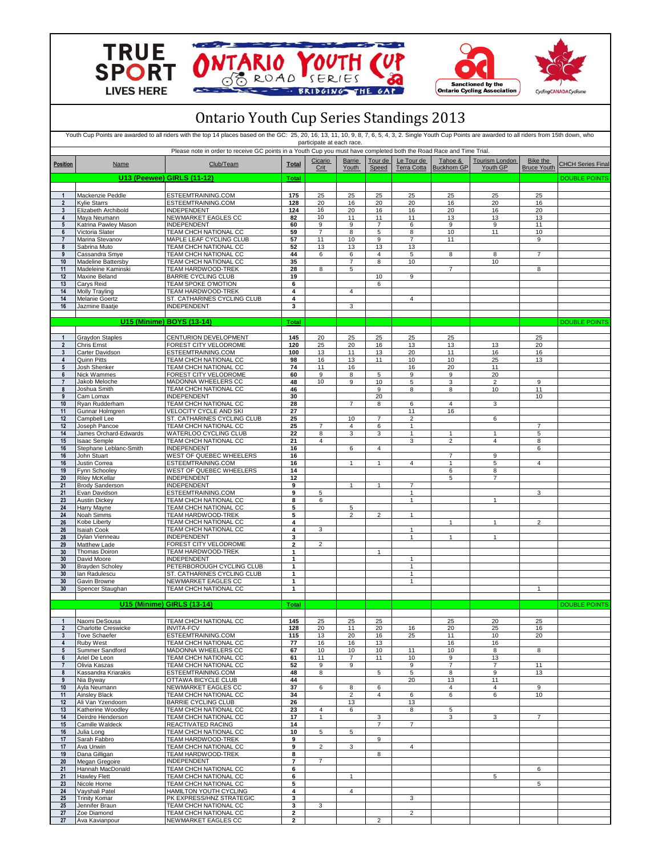







| <b>Ontario Youth Cup Series Standings 2013</b><br>Youth Cup Points are awarded to all riders with the top 14 places based on the GC: 25, 20, 16, 13, 11, 10, 9, 8, 7, 6, 5, 4, 3, 2. Single Youth Cup Points are awarded to all riders from 15th down, who<br>participate at each race. |                                             |                                                          |                     |                     |                     |                     |                                |                                  |                      |                |                      |
|-----------------------------------------------------------------------------------------------------------------------------------------------------------------------------------------------------------------------------------------------------------------------------------------|---------------------------------------------|----------------------------------------------------------|---------------------|---------------------|---------------------|---------------------|--------------------------------|----------------------------------|----------------------|----------------|----------------------|
|                                                                                                                                                                                                                                                                                         |                                             |                                                          |                     |                     |                     |                     |                                |                                  |                      |                | Position             |
|                                                                                                                                                                                                                                                                                         |                                             | <b>U13 (Peewee) GIRLS (11-12)</b>                        | <b>Total</b>        |                     |                     |                     |                                |                                  |                      |                | <b>DOUBLE POINTS</b> |
| $\mathbf{1}$                                                                                                                                                                                                                                                                            | Mackenzie Peddle                            | ESTEEMTRAINING.COM                                       | 175                 | 25                  | 25                  | 25                  | 25                             | 25                               | 25                   | 25             |                      |
| $\overline{2}$<br>3                                                                                                                                                                                                                                                                     | <b>Kylie Starrs</b><br>Elizabeth Archibold  | ESTEEMTRAINING.COM<br>INDEPENDENT                        | 128<br>124          | 20<br>16            | 16<br>20            | 20<br>16            | 20<br>16                       | 16<br>20                         | 20<br>16             | 16<br>20       |                      |
| $\overline{4}$                                                                                                                                                                                                                                                                          | Maya Neumann                                | NEWMARKET EAGLES CC                                      | 82                  | 10                  | 11                  | 11                  | 11                             | 13                               | 13                   | 13             |                      |
| $5\phantom{.0}$<br>6                                                                                                                                                                                                                                                                    | Katrina Pawley Mason                        | <b>INDEPENDENT</b><br>TEAM CHCH NATIONAL CC              | 60<br>59            | 9<br>$\overline{7}$ | 9<br>8              | $\overline{7}$<br>5 | 6<br>8                         | 9<br>10                          | 9<br>11              | 11<br>10       |                      |
| $\overline{7}$                                                                                                                                                                                                                                                                          | Victoria Slater<br>Marina Stevanov          | MAPLE LEAF CYCLING CLUB                                  | 57                  | 11                  | 10                  | 9                   | $\overline{7}$                 | 11                               |                      | 9              |                      |
| 8                                                                                                                                                                                                                                                                                       | Sabrina Muto                                | TEAM CHCH NATIONAL CC                                    | 52                  | 13                  | 13                  | 13                  | 13                             |                                  |                      |                |                      |
| 9<br>10                                                                                                                                                                                                                                                                                 | Cassandra Smye<br><b>Madeline Battersby</b> | TEAM CHCH NATIONAL CC<br>TEAM CHCH NATIONAL CC           | 44<br>35            | 6                   | 6<br>7              | 4<br>8              | 5<br>10                        | 8                                | 8<br>10              | $\overline{7}$ |                      |
| 11                                                                                                                                                                                                                                                                                      | Madeleine Kaminski                          | TEAM HARDWOOD-TREK                                       | 28                  | 8                   | 5                   |                     |                                | $\overline{7}$                   |                      | 8              |                      |
| 12<br>13                                                                                                                                                                                                                                                                                | Maxine Beland<br>Carys Reid                 | <b>BARRIE CYCLING CLUB</b><br>TEAM SPOKE O'MOTION        | 19<br>6             |                     |                     | 10<br>6             | $\boldsymbol{9}$               |                                  |                      |                |                      |
| 14                                                                                                                                                                                                                                                                                      | Molly Trayling                              | TEAM HARDWOOD-TREK                                       | 4                   |                     | $\overline{4}$      |                     |                                |                                  |                      |                |                      |
| 14<br>16                                                                                                                                                                                                                                                                                | Melanie Goertz<br>Jazmine Baatje            | ST. CATHARINES CYCLING CLUB<br>INDEPENDENT               | 4<br>3              |                     | 3                   |                     | 4                              |                                  |                      |                |                      |
|                                                                                                                                                                                                                                                                                         |                                             |                                                          |                     |                     |                     |                     |                                |                                  |                      |                |                      |
|                                                                                                                                                                                                                                                                                         |                                             | U15 (Minime) BOYS (13-14)                                | Total               |                     |                     |                     |                                |                                  |                      |                | <b>DOUBLE POINTS</b> |
| $\mathbf{1}$                                                                                                                                                                                                                                                                            | <b>Graydon Staples</b>                      | CENTURION DEVELOPMENT                                    | 145                 | 20                  | 25                  | 25                  | 25                             | 25                               |                      | 25             |                      |
| $\overline{2}$<br>3                                                                                                                                                                                                                                                                     | Chris Ernst<br>Carter Davidson              | FOREST CITY VELODROME<br>ESTEEMTRAINING.COM              | 120<br>100          | 25<br>13            | 20<br>11            | 16<br>13            | 13<br>20                       | 13<br>11                         | 13<br>16             | 20<br>16       |                      |
| 4                                                                                                                                                                                                                                                                                       | Quinn Pitts                                 | TEAM CHCH NATIONAL CC                                    | 98                  | 16                  | 13                  | 11                  | 10                             | 10                               | 25                   | 13             |                      |
| $5\phantom{.0}$                                                                                                                                                                                                                                                                         | Josh Shenker                                | TEAM CHCH NATIONAL CC                                    | 74                  | 11                  | 16                  |                     | 16                             | 20                               | 11                   |                |                      |
| 6<br>$\overline{7}$                                                                                                                                                                                                                                                                     | Nick Wammes<br>Jakob Meloche                | FOREST CITY VELODROME<br>MADONNA WHEELERS CC             | 60<br>48            | 9<br>10             | 8<br>9              | 5<br>10             | 9<br>5                         | $\overline{9}$<br>3              | 20<br>$\overline{2}$ | 9              |                      |
| 8                                                                                                                                                                                                                                                                                       | Joshua Smith                                | TEAM CHCH NATIONAL CC                                    | 46                  |                     |                     | 9                   | 8                              | 8                                | 10                   | 11             |                      |
| 9<br>10                                                                                                                                                                                                                                                                                 | Cam Lomax<br>Ryan Rudderham                 | INDEPENDENT<br>TEAM CHCH NATIONAL CC                     | 30<br>28            |                     | $\overline{7}$      | 20<br>8             | 6                              | $\overline{4}$                   | 3                    | 10             |                      |
| 11                                                                                                                                                                                                                                                                                      | Gunnar Holmgren                             | VELOCITY CYCLE AND SKI                                   | 27                  |                     |                     |                     | 11                             | 16                               |                      |                |                      |
| 12<br>12                                                                                                                                                                                                                                                                                | Campbell Lee<br>Joseph Pancoe               | ST. CATHARINES CYCLING CLUB<br>TEAM CHCH NATIONAL CC     | 25<br>25            | 7                   | 10<br>4             | $\overline{7}$<br>6 | $\overline{2}$<br>$\mathbf{1}$ |                                  | 6                    | 7              |                      |
| 14                                                                                                                                                                                                                                                                                      | James Orchard-Edwards                       | WATERLOO CYCLING CLUB                                    | 22                  | 8                   | 3                   | 3                   | $\mathbf{1}$                   | $\mathbf{1}$                     | $\mathbf{1}$         | 5              |                      |
| 15                                                                                                                                                                                                                                                                                      | <b>Isaac Semple</b>                         | TEAM CHCH NATIONAL CC                                    | 21                  | 4                   |                     |                     | 3                              | $\overline{2}$                   | $\overline{4}$       | 8              |                      |
| 16<br>16                                                                                                                                                                                                                                                                                | Stephane Leblanc-Smith<br>John Stuart       | INDEPENDENT<br>WEST OF QUEBEC WHEELERS                   | 16<br>16            |                     | 6                   | 4                   |                                | 7                                | 9                    | 6              |                      |
| 16                                                                                                                                                                                                                                                                                      | Justin Correa                               | ESTEEMTRAINING.COM                                       | 16                  |                     | $\overline{1}$      | 1                   | 4                              | $\mathbf{1}$                     | 5                    | 4              |                      |
| 19<br>20                                                                                                                                                                                                                                                                                | Fynn Schooley<br><b>Riley McKellar</b>      | WEST OF QUEBEC WHEELERS<br>INDEPENDENT                   | 14<br>12            |                     |                     |                     |                                | 6<br>5                           | 8<br>$\overline{7}$  |                |                      |
| 21                                                                                                                                                                                                                                                                                      | <b>Brody Sanderson</b>                      | INDEPENDENT                                              | 9                   |                     | $\mathbf{1}$        | 1                   | 7                              |                                  |                      |                |                      |
| 21<br>23                                                                                                                                                                                                                                                                                | Evan Davidson<br><b>Austin Dickey</b>       | ESTEEMTRAINING.COM<br>TEAM CHCH NATIONAL CC              | 9<br>8              | 5<br>6              |                     |                     | $\mathbf{1}$<br>$\overline{1}$ |                                  | $\overline{1}$       | 3              |                      |
| 24                                                                                                                                                                                                                                                                                      | Harry Mayne                                 | TEAM CHCH NATIONAL CC                                    | 5                   |                     | 5                   |                     |                                |                                  |                      |                |                      |
| 24<br>26                                                                                                                                                                                                                                                                                | Noah Simms<br>Kobe Liberty                  | TEAM HARDWOOD-TREK<br>TEAM CHCH NATIONAL CC              | 5<br>4              |                     | 2                   | $\overline{2}$      | $\mathbf{1}$                   | 1                                | $\overline{1}$       | 2              |                      |
| 26                                                                                                                                                                                                                                                                                      | <b>Isaiah Cook</b>                          | <b>TEAM CHCH NATIONAL CC</b>                             | 4                   | 3                   |                     |                     | $\mathbf{1}$                   |                                  |                      |                |                      |
| 28                                                                                                                                                                                                                                                                                      | Dylan Vienneau                              | INDEPENDENT                                              | 3                   |                     |                     |                     | 1                              | 1                                | 1                    |                |                      |
| 29<br>30                                                                                                                                                                                                                                                                                | Matthew Lade<br>Thomas Doiron               | FOREST CITY VELODROME<br>TEAM HARDWOOD-TREK              | $\overline{2}$<br>1 | $\overline{2}$      |                     | 1                   |                                |                                  |                      |                |                      |
| 30                                                                                                                                                                                                                                                                                      | David Moore                                 | INDEPENDENT                                              | $\mathbf{1}$        |                     |                     |                     | $\mathbf{1}$                   |                                  |                      |                |                      |
| 30<br>30                                                                                                                                                                                                                                                                                | <b>Brayden Scholey</b><br>lan Radulescu     | PETERBOROUGH CYCLING CLUB<br>ST. CATHARINES CYCLING CLUB | 1<br>$\mathbf{1}$   |                     |                     |                     | $\mathbf{1}$<br>$\overline{1}$ |                                  |                      |                |                      |
| 30                                                                                                                                                                                                                                                                                      | Gavin Browne                                | NEWMARKET EAGLES CC                                      | 1                   |                     |                     |                     | 1                              |                                  |                      |                |                      |
| 30                                                                                                                                                                                                                                                                                      | Spencer Staughan                            | TEAM CHCH NATIONAL CC                                    | 1                   |                     |                     |                     |                                |                                  |                      | $\mathbf{1}$   |                      |
|                                                                                                                                                                                                                                                                                         |                                             | <b>U15 (Minime) GIRLS (13-14)</b>                        | Total               |                     |                     |                     |                                |                                  |                      |                | <b>DOUBLE POINTS</b> |
| $\mathbf{1}$                                                                                                                                                                                                                                                                            | Naomi DeSousa                               | TEAM CHCH NATIONAL CC                                    | 145                 | 25                  | 25                  | 25                  |                                | 25                               | 20                   | 25             |                      |
| $\overline{2}$                                                                                                                                                                                                                                                                          | <b>Charlotte Creswicke</b>                  | <b>INVITA-FCV</b>                                        | 128                 | 20                  | 11                  | 20                  | 16                             | 20                               | 25                   | 16             |                      |
| $\mathbf{3}$<br>4                                                                                                                                                                                                                                                                       | <b>Tove Schaefer</b><br>Ruby West           | ESTEEMTRAINING.COM<br>TEAM CHCH NATIONAL CC              | 115<br>77           | 13<br>16            | 20<br>16            | 16<br>13            | 25                             | 11<br>16                         | 10<br>16             | 20             |                      |
| $5\phantom{.0}$                                                                                                                                                                                                                                                                         | Summer Sandford                             | MADONNA WHEELERS CC                                      | 67                  | 10                  | 10                  | 10                  | 11                             | 10                               | 8                    | 8              |                      |
| 6                                                                                                                                                                                                                                                                                       | Ariel De Leon                               | TEAM CHCH NATIONAL CC                                    | 61                  | 11                  | $\overline{7}$      | 11                  | 10                             | 9                                | 13                   |                |                      |
| $\overline{7}$<br>8                                                                                                                                                                                                                                                                     | Olivia Kaszas<br>Kassandra Kriarakis        | TEAM CHCH NATIONAL CC<br>ESTEEMTRAINING.COM              | 52<br>48            | 9<br>8              | 9                   | 5                   | 9<br>5                         | $\overline{7}$<br>$\overline{8}$ | $\overline{7}$<br>9  | 11<br>13       |                      |
| 9                                                                                                                                                                                                                                                                                       | Nia Byway                                   | OTTAWA BICYCLE CLUB                                      | 44                  |                     |                     |                     | 20                             | 13                               | 11                   |                |                      |
| 10<br>11                                                                                                                                                                                                                                                                                | Ayla Neumann<br>Ainsley Black               | NEWMARKET EAGLES CC<br>TEAM CHCH NATIONAL CC             | 37<br>34            | 6                   | 8<br>$\overline{2}$ | 6<br>4              | 6                              | $\overline{4}$<br>6              | $\overline{4}$<br>6  | 9<br>10        |                      |
| 12                                                                                                                                                                                                                                                                                      | Ali Van Yzendoorn                           | <b>BARRIE CYCLING CLUB</b>                               | 26                  |                     | 13                  |                     | 13                             |                                  |                      |                |                      |
| 13<br>14                                                                                                                                                                                                                                                                                | Katherine Woodley<br>Deirdre Henderson      | TEAM CHCH NATIONAL CC<br>TEAM CHCH NATIONAL CC           | 23<br>17            | 4<br>$\mathbf{1}$   | 6                   | 3                   | 8                              | 5<br>3                           | 3                    | $\overline{7}$ |                      |
| 15                                                                                                                                                                                                                                                                                      | Camille Waldeck                             | REACTIVATED RACING                                       | 14                  |                     |                     | $\overline{7}$      | $\overline{7}$                 |                                  |                      |                |                      |
| 16                                                                                                                                                                                                                                                                                      | Julia Long                                  | TEAM CHCH NATIONAL CC                                    | 10                  | 5                   | 5                   |                     |                                |                                  |                      |                |                      |
| 17<br>17                                                                                                                                                                                                                                                                                | Sarah Fabbro<br>Ava Unwin                   | TEAM HARDWOOD-TREK<br>TEAM CHCH NATIONAL CC              | 9<br>9              | $\overline{2}$      | 3                   | 9                   | $\overline{4}$                 |                                  |                      |                |                      |
| 19                                                                                                                                                                                                                                                                                      | Dana Gilligan                               | TEAM HARDWOOD-TREK                                       | 8                   |                     |                     | 8                   |                                |                                  |                      |                |                      |
| 20<br>21                                                                                                                                                                                                                                                                                | Megan Gregoire<br>Hannah MacDonald          | INDEPENDENT<br>TEAM CHCH NATIONAL CC                     | 7<br>6              | $\overline{7}$      |                     |                     |                                |                                  |                      | 6              |                      |
| 21                                                                                                                                                                                                                                                                                      | <b>Hawley Flett</b>                         | TEAM CHCH NATIONAL CC                                    | 6                   |                     | $\overline{1}$      |                     |                                |                                  | 5                    |                |                      |
| 23<br>24                                                                                                                                                                                                                                                                                | Nicole Horne<br>Vayshali Patel              | TEAM CHCH NATIONAL CC<br>HAMILTON YOUTH CYCLING          | 5<br>4              |                     | 4                   |                     |                                |                                  |                      | 5              |                      |
| 25                                                                                                                                                                                                                                                                                      | <b>Trinity Komar</b>                        | PK EXPRESS/HNZ STRATEGIC                                 | 3                   |                     |                     |                     | 3                              |                                  |                      |                |                      |
| 25<br>27                                                                                                                                                                                                                                                                                | Jennifer Braun<br>Zoe Diamond               | TEAM CHCH NATIONAL CC<br>TEAM CHCH NATIONAL CC           | 3<br>2              | 3                   |                     |                     | $\overline{2}$                 |                                  |                      |                |                      |
| 27                                                                                                                                                                                                                                                                                      | Ava Kavianpour                              | NEWMARKET EAGLES CC                                      | $\mathbf{2}$        |                     |                     | $\overline{c}$      |                                |                                  |                      |                |                      |